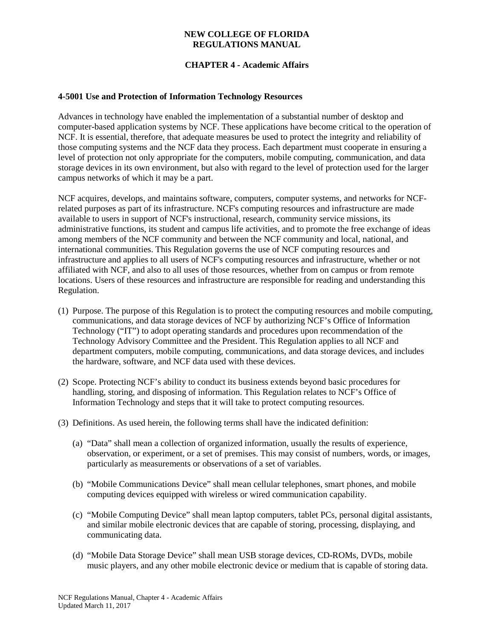### **NEW COLLEGE OF FLORIDA REGULATIONS MANUAL**

# **CHAPTER 4 - Academic Affairs**

### **4-5001 Use and Protection of Information Technology Resources**

Advances in technology have enabled the implementation of a substantial number of desktop and computer-based application systems by NCF. These applications have become critical to the operation of NCF. It is essential, therefore, that adequate measures be used to protect the integrity and reliability of those computing systems and the NCF data they process. Each department must cooperate in ensuring a level of protection not only appropriate for the computers, mobile computing, communication, and data storage devices in its own environment, but also with regard to the level of protection used for the larger campus networks of which it may be a part.

NCF acquires, develops, and maintains software, computers, computer systems, and networks for NCFrelated purposes as part of its infrastructure. NCF's computing resources and infrastructure are made available to users in support of NCF's instructional, research, community service missions, its administrative functions, its student and campus life activities, and to promote the free exchange of ideas among members of the NCF community and between the NCF community and local, national, and international communities. This Regulation governs the use of NCF computing resources and infrastructure and applies to all users of NCF's computing resources and infrastructure, whether or not affiliated with NCF, and also to all uses of those resources, whether from on campus or from remote locations. Users of these resources and infrastructure are responsible for reading and understanding this Regulation.

- (1) Purpose. The purpose of this Regulation is to protect the computing resources and mobile computing, communications, and data storage devices of NCF by authorizing NCF's Office of Information Technology ("IT") to adopt operating standards and procedures upon recommendation of the Technology Advisory Committee and the President. This Regulation applies to all NCF and department computers, mobile computing, communications, and data storage devices, and includes the hardware, software, and NCF data used with these devices.
- (2) Scope. Protecting NCF's ability to conduct its business extends beyond basic procedures for handling, storing, and disposing of information. This Regulation relates to NCF's Office of Information Technology and steps that it will take to protect computing resources.
- (3) Definitions. As used herein, the following terms shall have the indicated definition:
	- (a) "Data" shall mean a collection of organized information, usually the results of experience, observation, or experiment, or a set of premises. This may consist of numbers, words, or images, particularly as measurements or observations of a set of variables.
	- (b) "Mobile Communications Device" shall mean cellular telephones, smart phones, and mobile computing devices equipped with wireless or wired communication capability.
	- (c) "Mobile Computing Device" shall mean laptop computers, tablet PCs, personal digital assistants, and similar mobile electronic devices that are capable of storing, processing, displaying, and communicating data.
	- (d) "Mobile Data Storage Device" shall mean USB storage devices, CD-ROMs, DVDs, mobile music players, and any other mobile electronic device or medium that is capable of storing data.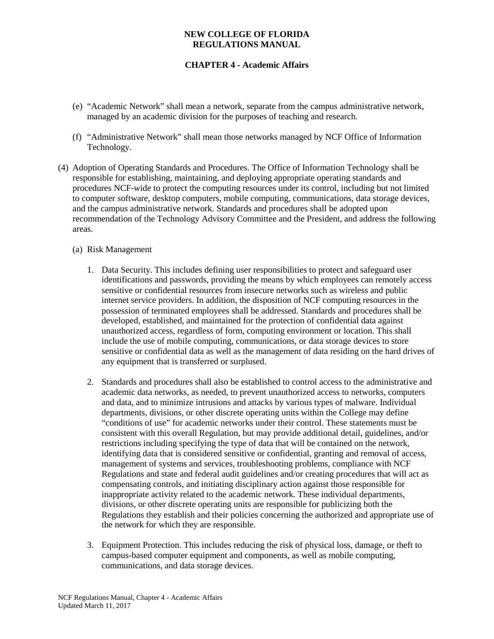### **NEW COLLEGE OF FLORIDA REGULATIONS MANUAL**

# **CHAPTER 4 - Academic Affairs**

- (e) "Academic Network" shall mean a network, separate from the campus administrative network, managed by an academic division for the purposes of teaching and research.
- (f) "Administrative Network" shall mean those networks managed by NCF Office of Information Technology.
- (4) Adoption of Operating Standards and Procedures. The Office of Information Technology shall be responsible for establishing, maintaining, and deploying appropriate operating standards and procedures NCF-wide to protect the computing resources under its control, including but not limited to computer software, desktop computers, mobile computing, communications, data storage devices, and the campus administrative network. Standards and procedures shall be adopted upon recommendation of the Technology Advisory Committee and the President, and address the following areas.

### (a) Risk Management

- 1. Data Security. This includes defining user responsibilities to protect and safeguard user identifications and passwords, providing the means by which employees can remotely access sensitive or confidential resources from insecure networks such as wireless and public internet service providers. In addition, the disposition of NCF computing resources in the possession of terminated employees shall be addressed. Standards and procedures shall be developed, established, and maintained for the protection of confidential data against unauthorized access, regardless of form, computing environment or location. This shall include the use of mobile computing, communications, or data storage devices to store sensitive or confidential data as well as the management of data residing on the hard drives of any equipment that is transferred or surplused.
- 2. Standards and procedures shall also be established to control access to the administrative and academic data networks, as needed, to prevent unauthorized access to networks, computers and data, and to minimize intrusions and attacks by various types of malware. Individual departments, divisions, or other discrete operating units within the College may define "conditions of use" for academic networks under their control. These statements must be consistent with this overall Regulation, but may provide additional detail, guidelines, and/or restrictions including specifying the type of data that will be contained on the network, identifying data that is considered sensitive or confidential, granting and removal of access, management of systems and services, troubleshooting problems, compliance with NCF Regulations and state and federal audit guidelines and/or creating procedures that will act as compensating controls, and initiating disciplinary action against those responsible for inappropriate activity related to the academic network. These individual departments, divisions, or other discrete operating units are responsible for publicizing both the Regulations they establish and their policies concerning the authorized and appropriate use of the network for which they are responsible.
- 3. Equipment Protection. This includes reducing the risk of physical loss, damage, or theft to campus-based computer equipment and components, as well as mobile computing, communications, and data storage devices.